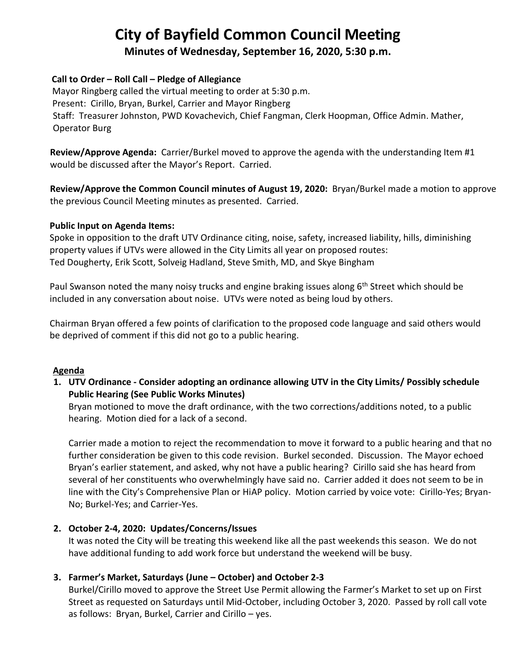# **City of Bayfield Common Council Meeting**

**Minutes of Wednesday, September 16, 2020, 5:30 p.m.** 

### **Call to Order – Roll Call – Pledge of Allegiance**

 Mayor Ringberg called the virtual meeting to order at 5:30 p.m. Present: Cirillo, Bryan, Burkel, Carrier and Mayor Ringberg Staff: Treasurer Johnston, PWD Kovachevich, Chief Fangman, Clerk Hoopman, Office Admin. Mather, Operator Burg

 **Review/Approve Agenda:** Carrier/Burkel moved to approve the agenda with the understanding Item #1 would be discussed after the Mayor's Report. Carried.

 **Review/Approve the Common Council minutes of August 19, 2020:** Bryan/Burkel made a motion to approve the previous Council Meeting minutes as presented. Carried.

### **Public Input on Agenda Items:**

Spoke in opposition to the draft UTV Ordinance citing, noise, safety, increased liability, hills, diminishing property values if UTVs were allowed in the City Limits all year on proposed routes: Ted Dougherty, Erik Scott, Solveig Hadland, Steve Smith, MD, and Skye Bingham

Paul Swanson noted the many noisy trucks and engine braking issues along 6<sup>th</sup> Street which should be included in any conversation about noise. UTVs were noted as being loud by others.

Chairman Bryan offered a few points of clarification to the proposed code language and said others would be deprived of comment if this did not go to a public hearing.

# **Agenda**

**1. UTV Ordinance - Consider adopting an ordinance allowing UTV in the City Limits/ Possibly schedule Public Hearing (See Public Works Minutes)**

Bryan motioned to move the draft ordinance, with the two corrections/additions noted, to a public hearing. Motion died for a lack of a second.

Carrier made a motion to reject the recommendation to move it forward to a public hearing and that no further consideration be given to this code revision. Burkel seconded. Discussion. The Mayor echoed Bryan's earlier statement, and asked, why not have a public hearing? Cirillo said she has heard from several of her constituents who overwhelmingly have said no. Carrier added it does not seem to be in line with the City's Comprehensive Plan or HiAP policy. Motion carried by voice vote: Cirillo-Yes; Bryan-No; Burkel-Yes; and Carrier-Yes.

# **2. October 2-4, 2020: Updates/Concerns/Issues**

It was noted the City will be treating this weekend like all the past weekends this season. We do not have additional funding to add work force but understand the weekend will be busy.

# **3. Farmer's Market, Saturdays (June – October) and October 2-3**

Burkel/Cirillo moved to approve the Street Use Permit allowing the Farmer's Market to set up on First Street as requested on Saturdays until Mid-October, including October 3, 2020. Passed by roll call vote as follows: Bryan, Burkel, Carrier and Cirillo – yes.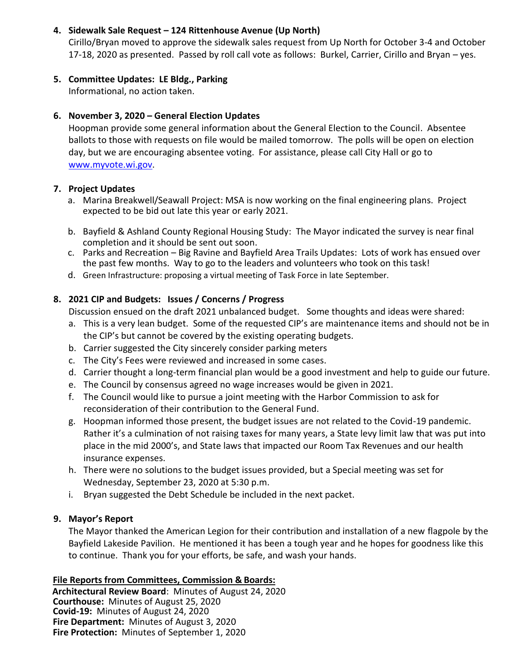### **4. Sidewalk Sale Request – 124 Rittenhouse Avenue (Up North)**

Cirillo/Bryan moved to approve the sidewalk sales request from Up North for October 3-4 and October 17-18, 2020 as presented. Passed by roll call vote as follows: Burkel, Carrier, Cirillo and Bryan – yes.

## **5. Committee Updates: LE Bldg., Parking**

Informational, no action taken.

# **6. November 3, 2020 – General Election Updates**

Hoopman provide some general information about the General Election to the Council. Absentee ballots to those with requests on file would be mailed tomorrow. The polls will be open on election day, but we are encouraging absentee voting. For assistance, please call City Hall or go to [www.myvote.wi.gov.](http://www.myvote.wi.gov/)

## **7. Project Updates**

- a. Marina Breakwell/Seawall Project: MSA is now working on the final engineering plans. Project expected to be bid out late this year or early 2021.
- b. Bayfield & Ashland County Regional Housing Study: The Mayor indicated the survey is near final completion and it should be sent out soon.
- c. Parks and Recreation Big Ravine and Bayfield Area Trails Updates: Lots of work has ensued over the past few months. Way to go to the leaders and volunteers who took on this task!
- d. Green Infrastructure: proposing a virtual meeting of Task Force in late September.

# **8. 2021 CIP and Budgets: Issues / Concerns / Progress**

Discussion ensued on the draft 2021 unbalanced budget. Some thoughts and ideas were shared:

- a. This is a very lean budget. Some of the requested CIP's are maintenance items and should not be in the CIP's but cannot be covered by the existing operating budgets.
- b. Carrier suggested the City sincerely consider parking meters
- c. The City's Fees were reviewed and increased in some cases.
- d. Carrier thought a long-term financial plan would be a good investment and help to guide our future.
- e. The Council by consensus agreed no wage increases would be given in 2021.
- f. The Council would like to pursue a joint meeting with the Harbor Commission to ask for reconsideration of their contribution to the General Fund.
- g. Hoopman informed those present, the budget issues are not related to the Covid-19 pandemic. Rather it's a culmination of not raising taxes for many years, a State levy limit law that was put into place in the mid 2000's, and State laws that impacted our Room Tax Revenues and our health insurance expenses.
- h. There were no solutions to the budget issues provided, but a Special meeting was set for Wednesday, September 23, 2020 at 5:30 p.m.
- i. Bryan suggested the Debt Schedule be included in the next packet.

# **9. Mayor's Report**

The Mayor thanked the American Legion for their contribution and installation of a new flagpole by the Bayfield Lakeside Pavilion. He mentioned it has been a tough year and he hopes for goodness like this to continue. Thank you for your efforts, be safe, and wash your hands.

# **File Reports from Committees, Commission & Boards:**

 **Architectural Review Board**: Minutes of August 24, 2020 **Courthouse:** Minutes of August 25, 2020 **Covid-19:** Minutes of August 24, 2020 **Fire Department:** Minutes of August 3, 2020 **Fire Protection:** Minutes of September 1, 2020